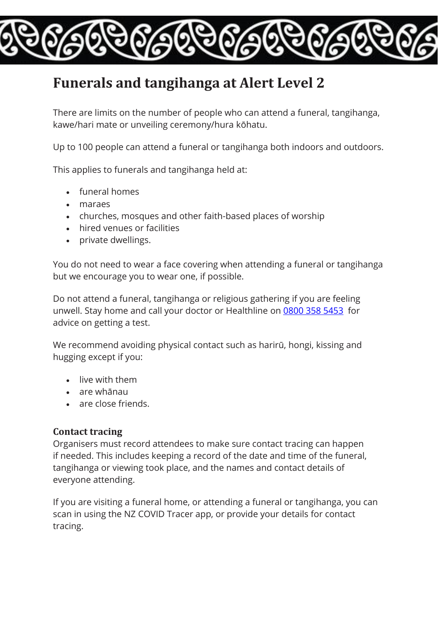# **Funerals and tangihanga at Alert Level 2**

There are limits on the number of people who can attend a funeral, tangihanga, kawe/hari mate or unveiling ceremony/hura kōhatu.

Up to 100 people can attend a funeral or tangihanga both indoors and outdoors.

This applies to funerals and tangihanga held at:

- funeral homes
- maraes
- churches, mosques and other faith-based places of worship
- hired venues or facilities
- private dwellings.

You do not need to wear a face covering when attending a funeral or tangihanga but we encourage you to wear one, if possible.

Do not attend a funeral, tangihanga or religious gathering if you are feeling unwell. Stay home and call your doctor or Healthline on [0800 358 5453](tel:08003585453) for advice on getting a test.

We recommend avoiding physical contact such as harirū, hongi, kissing and hugging except if you:

- live with them
- are whānau
- are close friends.

#### **Contact tracing**

Organisers must record attendees to make sure contact tracing can happen if needed. This includes keeping a record of the date and time of the funeral, tangihanga or viewing took place, and the names and contact details of everyone attending.

If you are visiting a funeral home, or attending a funeral or tangihanga, you can scan in using the NZ COVID Tracer app, or provide your details for contact tracing.